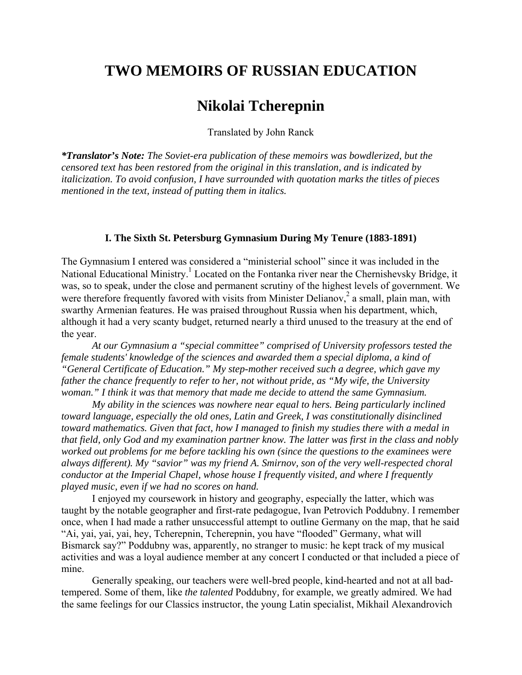## **TWO MEMOIRS OF RUSSIAN EDUCATION**

## **Nikolai Tcherepnin**

Translated by John Ranck

*\*Translator's Note: The Soviet-era publication of these memoirs was bowdlerized, but the censored text has been restored from the original in this translation, and is indicated by italicization. To avoid confusion, I have surrounded with quotation marks the titles of pieces mentioned in the text, instead of putting them in italics.* 

## **I. The Sixth St. Petersburg Gymnasium During My Tenure (1883-1891)**

The Gymnasium I entered was considered a "ministerial school" since it was included in the National Educational Ministry.<sup>1</sup> Located on the Fontanka river near the Chernishevsky Bridge, it was, so to speak, under the close and permanent scrutiny of the highest levels of government. We were therefore frequently favored with visits from Minister Delianov,<sup>2</sup> a small, plain man, with swarthy Armenian features. He was praised throughout Russia when his department, which, although it had a very scanty budget, returned nearly a third unused to the treasury at the end of the year.

*At our Gymnasium a "special committee" comprised of University professors tested the female students' knowledge of the sciences and awarded them a special diploma, a kind of "General Certificate of Education." My step-mother received such a degree, which gave my father the chance frequently to refer to her, not without pride, as "My wife, the University woman." I think it was that memory that made me decide to attend the same Gymnasium.* 

*My ability in the sciences was nowhere near equal to hers. Being particularly inclined toward language, especially the old ones, Latin and Greek, I was constitutionally disinclined toward mathematics. Given that fact, how I managed to finish my studies there with a medal in that field, only God and my examination partner know. The latter was first in the class and nobly worked out problems for me before tackling his own (since the questions to the examinees were always different). My "savior" was my friend A. Smirnov, son of the very well-respected choral conductor at the Imperial Chapel, whose house I frequently visited, and where I frequently played music, even if we had no scores on hand.* 

I enjoyed my coursework in history and geography, especially the latter, which was taught by the notable geographer and first-rate pedagogue, Ivan Petrovich Poddubny. I remember once, when I had made a rather unsuccessful attempt to outline Germany on the map, that he said "Ai, yai, yai, yai, hey, Tcherepnin, Tcherepnin, you have "flooded" Germany, what will Bismarck say?" Poddubny was, apparently, no stranger to music: he kept track of my musical activities and was a loyal audience member at any concert I conducted or that included a piece of mine.

Generally speaking, our teachers were well-bred people, kind-hearted and not at all badtempered. Some of them, like *the talented* Poddubny*,* for example, we greatly admired. We had the same feelings for our Classics instructor, the young Latin specialist, Mikhail Alexandrovich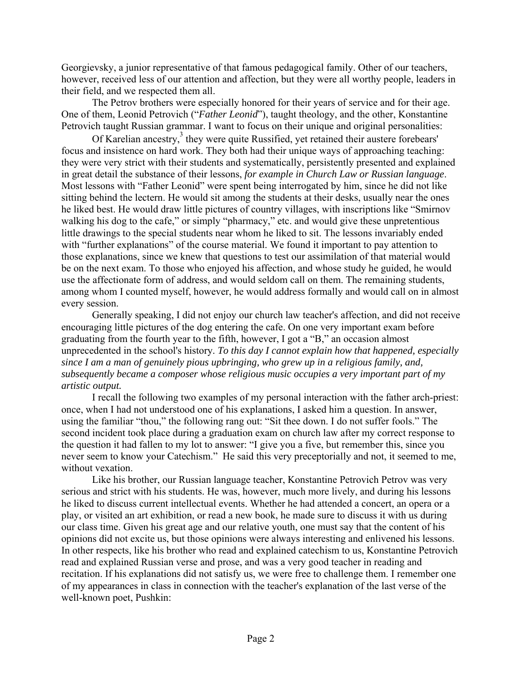Georgievsky, a junior representative of that famous pedagogical family. Other of our teachers, however, received less of our attention and affection, but they were all worthy people, leaders in their field, and we respected them all.

The Petrov brothers were especially honored for their years of service and for their age. One of them, Leonid Petrovich ("*Father Leonid*"), taught theology, and the other, Konstantine Petrovich taught Russian grammar. I want to focus on their unique and original personalities:

Of Karelian ancestry,<sup>3</sup> they were quite Russified, yet retained their austere forebears' focus and insistence on hard work. They both had their unique ways of approaching teaching: they were very strict with their students and systematically, persistently presented and explained in great detail the substance of their lessons, *for example in Church Law or Russian language*. Most lessons with "Father Leonid" were spent being interrogated by him, since he did not like sitting behind the lectern. He would sit among the students at their desks, usually near the ones he liked best. He would draw little pictures of country villages, with inscriptions like "Smirnov walking his dog to the cafe," or simply "pharmacy," etc. and would give these unpretentious little drawings to the special students near whom he liked to sit. The lessons invariably ended with "further explanations" of the course material. We found it important to pay attention to those explanations, since we knew that questions to test our assimilation of that material would be on the next exam. To those who enjoyed his affection, and whose study he guided, he would use the affectionate form of address, and would seldom call on them. The remaining students, among whom I counted myself, however, he would address formally and would call on in almost every session.

Generally speaking, I did not enjoy our church law teacher's affection, and did not receive encouraging little pictures of the dog entering the cafe. On one very important exam before graduating from the fourth year to the fifth, however, I got a "B," an occasion almost unprecedented in the school's history. *To this day I cannot explain how that happened, especially since I am a man of genuinely pious upbringing, who grew up in a religious family, and, subsequently became a composer whose religious music occupies a very important part of my artistic output.* 

I recall the following two examples of my personal interaction with the father arch-priest: once, when I had not understood one of his explanations, I asked him a question. In answer, using the familiar "thou," the following rang out: "Sit thee down. I do not suffer fools." The second incident took place during a graduation exam on church law after my correct response to the question it had fallen to my lot to answer: "I give you a five, but remember this, since you never seem to know your Catechism." He said this very preceptorially and not, it seemed to me, without vexation.

Like his brother, our Russian language teacher, Konstantine Petrovich Petrov was very serious and strict with his students. He was, however, much more lively, and during his lessons he liked to discuss current intellectual events. Whether he had attended a concert, an opera or a play, or visited an art exhibition, or read a new book, he made sure to discuss it with us during our class time. Given his great age and our relative youth, one must say that the content of his opinions did not excite us, but those opinions were always interesting and enlivened his lessons. In other respects, like his brother who read and explained catechism to us, Konstantine Petrovich read and explained Russian verse and prose, and was a very good teacher in reading and recitation. If his explanations did not satisfy us, we were free to challenge them. I remember one of my appearances in class in connection with the teacher's explanation of the last verse of the well-known poet, Pushkin: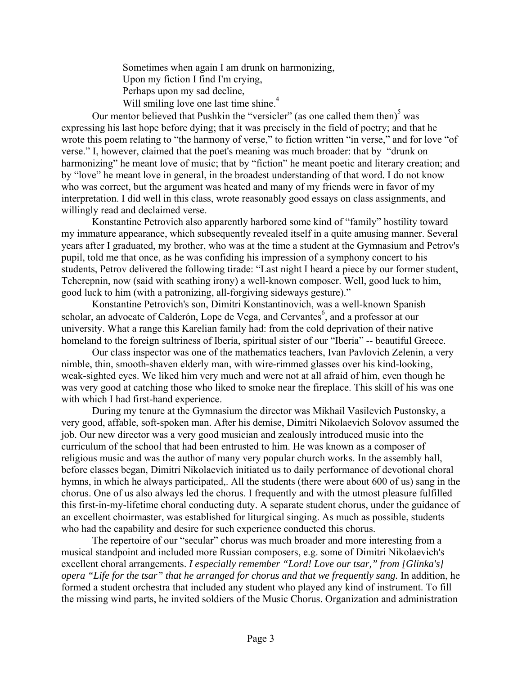Sometimes when again I am drunk on harmonizing, Upon my fiction I find I'm crying, Perhaps upon my sad decline, Will smiling love one last time shine.<sup>4</sup>

Our mentor believed that Pushkin the "versicler" (as one called them then) $<sup>5</sup>$  was</sup> expressing his last hope before dying; that it was precisely in the field of poetry; and that he wrote this poem relating to "the harmony of verse," to fiction written "in verse," and for love "of verse." I, however, claimed that the poet's meaning was much broader: that by "drunk on harmonizing" he meant love of music; that by "fiction" he meant poetic and literary creation; and by "love" he meant love in general, in the broadest understanding of that word. I do not know who was correct, but the argument was heated and many of my friends were in favor of my interpretation. I did well in this class, wrote reasonably good essays on class assignments, and willingly read and declaimed verse.

Konstantine Petrovich also apparently harbored some kind of "family" hostility toward my immature appearance, which subsequently revealed itself in a quite amusing manner. Several years after I graduated, my brother, who was at the time a student at the Gymnasium and Petrov's pupil, told me that once, as he was confiding his impression of a symphony concert to his students, Petrov delivered the following tirade: "Last night I heard a piece by our former student, Tcherepnin, now (said with scathing irony) a well-known composer. Well, good luck to him, good luck to him (with a patronizing, all-forgiving sideways gesture)."

Konstantine Petrovich's son, Dimitri Konstantinovich, was a well-known Spanish scholar, an advocate of Calderón, Lope de Vega, and Cervantes<sup>6</sup>, and a professor at our university. What a range this Karelian family had: from the cold deprivation of their native homeland to the foreign sultriness of Iberia, spiritual sister of our "Iberia" -- beautiful Greece.

Our class inspector was one of the mathematics teachers, Ivan Pavlovich Zelenin, a very nimble, thin, smooth-shaven elderly man, with wire-rimmed glasses over his kind-looking, weak-sighted eyes. We liked him very much and were not at all afraid of him, even though he was very good at catching those who liked to smoke near the fireplace. This skill of his was one with which I had first-hand experience.

During my tenure at the Gymnasium the director was Mikhail Vasilevich Pustonsky, a very good, affable, soft-spoken man. After his demise, Dimitri Nikolaevich Solovov assumed the job. Our new director was a very good musician and zealously introduced music into the curriculum of the school that had been entrusted to him. He was known as a composer of religious music and was the author of many very popular church works. In the assembly hall, before classes began, Dimitri Nikolaevich initiated us to daily performance of devotional choral hymns, in which he always participated,. All the students (there were about 600 of us) sang in the chorus. One of us also always led the chorus. I frequently and with the utmost pleasure fulfilled this first-in-my-lifetime choral conducting duty. A separate student chorus, under the guidance of an excellent choirmaster, was established for liturgical singing. As much as possible, students who had the capability and desire for such experience conducted this chorus.

The repertoire of our "secular" chorus was much broader and more interesting from a musical standpoint and included more Russian composers, e.g. some of Dimitri Nikolaevich's excellent choral arrangements. *I especially remember "Lord! Love our tsar," from [Glinka's] opera "Life for the tsar" that he arranged for chorus and that we frequently sang.* In addition, he formed a student orchestra that included any student who played any kind of instrument. To fill the missing wind parts, he invited soldiers of the Music Chorus. Organization and administration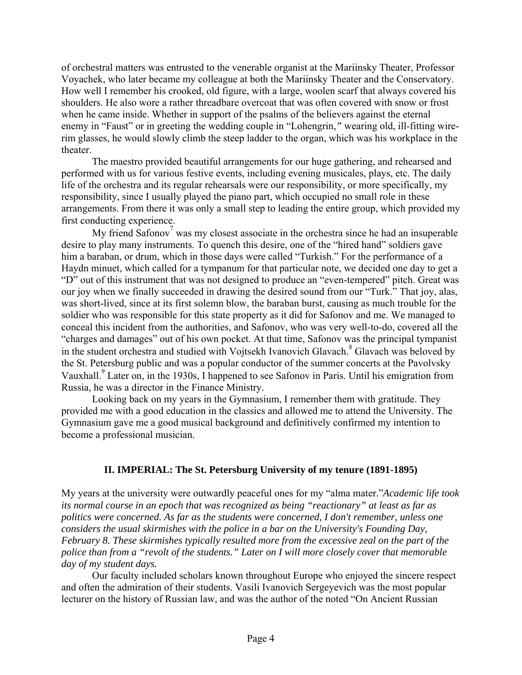of orchestral matters was entrusted to the venerable organist at the Mariinsky Theater, Professor Voyachek, who later became my colleague at both the Mariinsky Theater and the Conservatory. How well I remember his crooked, old figure, with a large, woolen scarf that always covered his shoulders. He also wore a rather threadbare overcoat that was often covered with snow or frost when he came inside. Whether in support of the psalms of the believers against the eternal enemy in "Faust" or in greeting the wedding couple in "Lohengrin*,"* wearing old, ill-fitting wirerim glasses, he would slowly climb the steep ladder to the organ, which was his workplace in the theater.

The maestro provided beautiful arrangements for our huge gathering, and rehearsed and performed with us for various festive events, including evening musicales, plays, etc. The daily life of the orchestra and its regular rehearsals were our responsibility, or more specifically, my responsibility, since I usually played the piano part, which occupied no small role in these arrangements. From there it was only a small step to leading the entire group, which provided my first conducting experience.

My friend Safonov<sup>7</sup> was my closest associate in the orchestra since he had an insuperable desire to play many instruments. To quench this desire, one of the "hired hand" soldiers gave him a baraban, or drum, which in those days were called "Turkish." For the performance of a Haydn minuet, which called for a tympanum for that particular note, we decided one day to get a "D" out of this instrument that was not designed to produce an "even-tempered" pitch. Great was our joy when we finally succeeded in drawing the desired sound from our "Turk." That joy, alas, was short-lived, since at its first solemn blow, the baraban burst, causing as much trouble for the soldier who was responsible for this state property as it did for Safonov and me. We managed to conceal this incident from the authorities, and Safonov, who was very well-to-do, covered all the "charges and damages" out of his own pocket. At that time, Safonov was the principal tympanist in the student orchestra and studied with Vojtsekh Ivanovich Glavach.<sup>8</sup> Glavach was beloved by the St. Petersburg public and was a popular conductor of the summer concerts at the Pavolvsky Vauxhall.<sup>9</sup> Later on, in the 1930s, I happened to see Safonov in Paris. Until his emigration from Russia, he was a director in the Finance Ministry.

Looking back on my years in the Gymnasium, I remember them with gratitude. They provided me with a good education in the classics and allowed me to attend the University. The Gymnasium gave me a good musical background and definitively confirmed my intention to become a professional musician.

## **II. IMPERIAL: The St. Petersburg University of my tenure (1891-1895)**

My years at the university were outwardly peaceful ones for my "alma mater."*Academic life took its normal course in an epoch that was recognized as being "reactionary" at least as far as politics were concerned. As far as the students were concerned, I don't remember, unless one considers the usual skirmishes with the police in a bar on the University's Founding Day, February 8. These skirmishes typically resulted more from the excessive zeal on the part of the police than from a "revolt of the students." Later on I will more closely cover that memorable day of my student days.* 

Our faculty included scholars known throughout Europe who enjoyed the sincere respect and often the admiration of their students. Vasili Ivanovich Sergeyevich was the most popular lecturer on the history of Russian law, and was the author of the noted "On Ancient Russian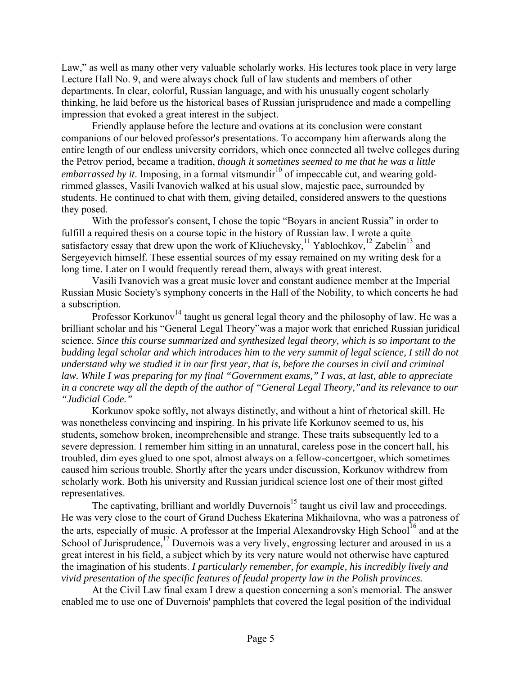Law," as well as many other very valuable scholarly works. His lectures took place in very large Lecture Hall No. 9, and were always chock full of law students and members of other departments. In clear, colorful, Russian language, and with his unusually cogent scholarly thinking, he laid before us the historical bases of Russian jurisprudence and made a compelling impression that evoked a great interest in the subject.

Friendly applause before the lecture and ovations at its conclusion were constant companions of our beloved professor's presentations. To accompany him afterwards along the entire length of our endless university corridors, which once connected all twelve colleges during the Petrov period, became a tradition, *though it sometimes seemed to me that he was a little embarrassed by it.* Imposing, in a formal vitsmundir<sup>10</sup> of impeccable cut, and wearing goldrimmed glasses, Vasili Ivanovich walked at his usual slow, majestic pace, surrounded by students. He continued to chat with them, giving detailed, considered answers to the questions they posed.

With the professor's consent, I chose the topic "Boyars in ancient Russia" in order to fulfill a required thesis on a course topic in the history of Russian law. I wrote a quite satisfactory essay that drew upon the work of Kliuchevsky, $11$  Yablochkov, $12$  Zabelin<sup>13</sup> and Sergeyevich himself. These essential sources of my essay remained on my writing desk for a long time. Later on I would frequently reread them, always with great interest.

Vasili Ivanovich was a great music lover and constant audience member at the Imperial Russian Music Society's symphony concerts in the Hall of the Nobility, to which concerts he had a subscription.

Professor Korkunov<sup>14</sup> taught us general legal theory and the philosophy of law. He was a brilliant scholar and his "General Legal Theory"was a major work that enriched Russian juridical science. *Since this course summarized and synthesized legal theory, which is so important to the budding legal scholar and which introduces him to the very summit of legal science, I still do not understand why we studied it in our first year, that is, before the courses in civil and criminal law. While I was preparing for my final "Government exams," I was, at last, able to appreciate in a concrete way all the depth of the author of "General Legal Theory,"and its relevance to our "Judicial Code."* 

Korkunov spoke softly, not always distinctly, and without a hint of rhetorical skill. He was nonetheless convincing and inspiring. In his private life Korkunov seemed to us, his students, somehow broken, incomprehensible and strange. These traits subsequently led to a severe depression. I remember him sitting in an unnatural, careless pose in the concert hall, his troubled, dim eyes glued to one spot, almost always on a fellow-concertgoer, which sometimes caused him serious trouble. Shortly after the years under discussion, Korkunov withdrew from scholarly work. Both his university and Russian juridical science lost one of their most gifted representatives.

The captivating, brilliant and worldly Duvernois<sup>15</sup> taught us civil law and proceedings. He was very close to the court of Grand Duchess Ekaterina Mikhailovna, who was a patroness of the arts, especially of music. A professor at the Imperial Alexandrovsky High School<sup>16</sup> and at the School of Jurisprudence, $^{17}$  Duvernois was a very lively, engrossing lecturer and aroused in us a great interest in his field, a subject which by its very nature would not otherwise have captured the imagination of his students. *I particularly remember, for example, his incredibly lively and vivid presentation of the specific features of feudal property law in the Polish provinces.* 

At the Civil Law final exam I drew a question concerning a son's memorial. The answer enabled me to use one of Duvernois' pamphlets that covered the legal position of the individual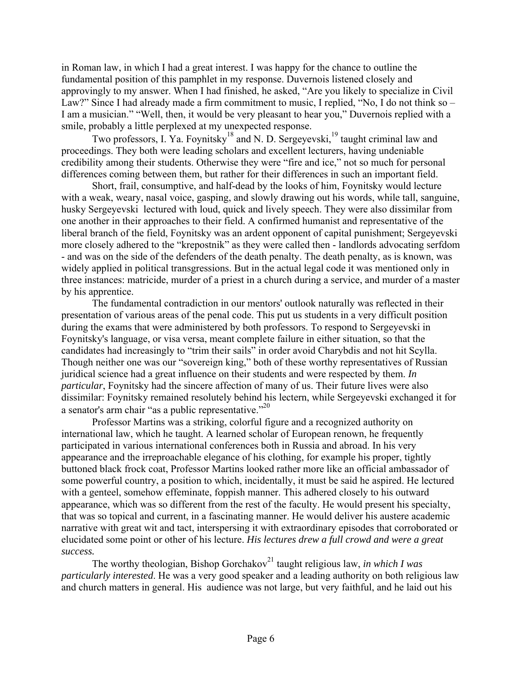in Roman law, in which I had a great interest. I was happy for the chance to outline the fundamental position of this pamphlet in my response. Duvernois listened closely and approvingly to my answer. When I had finished, he asked, "Are you likely to specialize in Civil Law?" Since I had already made a firm commitment to music, I replied, "No, I do not think so – I am a musician." "Well, then, it would be very pleasant to hear you," Duvernois replied with a smile, probably a little perplexed at my unexpected response.

Two professors, I. Ya. Foynitsky<sup>18</sup> and N. D. Sergeyevski,<sup>19</sup> taught criminal law and proceedings. They both were leading scholars and excellent lecturers, having undeniable credibility among their students. Otherwise they were "fire and ice," not so much for personal differences coming between them, but rather for their differences in such an important field.

Short, frail, consumptive, and half-dead by the looks of him, Foynitsky would lecture with a weak, weary, nasal voice, gasping, and slowly drawing out his words, while tall, sanguine, husky Sergeyevski lectured with loud, quick and lively speech. They were also dissimilar from one another in their approaches to their field. A confirmed humanist and representative of the liberal branch of the field, Foynitsky was an ardent opponent of capital punishment; Sergeyevski more closely adhered to the "krepostnik" as they were called then - landlords advocating serfdom - and was on the side of the defenders of the death penalty. The death penalty, as is known, was widely applied in political transgressions. But in the actual legal code it was mentioned only in three instances: matricide, murder of a priest in a church during a service, and murder of a master by his apprentice.

The fundamental contradiction in our mentors' outlook naturally was reflected in their presentation of various areas of the penal code. This put us students in a very difficult position during the exams that were administered by both professors. To respond to Sergeyevski in Foynitsky's language, or visa versa, meant complete failure in either situation, so that the candidates had increasingly to "trim their sails" in order avoid Charybdis and not hit Scylla. Though neither one was our "sovereign king," both of these worthy representatives of Russian juridical science had a great influence on their students and were respected by them. *In particular*, Foynitsky had the sincere affection of many of us. Their future lives were also dissimilar: Foynitsky remained resolutely behind his lectern, while Sergeyevski exchanged it for a senator's arm chair "as a public representative."<sup>20</sup>

Professor Martins was a striking, colorful figure and a recognized authority on international law, which he taught. A learned scholar of European renown, he frequently participated in various international conferences both in Russia and abroad. In his very appearance and the irreproachable elegance of his clothing, for example his proper, tightly buttoned black frock coat, Professor Martins looked rather more like an official ambassador of some powerful country, a position to which, incidentally, it must be said he aspired. He lectured with a genteel, somehow effeminate, foppish manner. This adhered closely to his outward appearance, which was so different from the rest of the faculty. He would present his specialty, that was so topical and current, in a fascinating manner. He would deliver his austere academic narrative with great wit and tact, interspersing it with extraordinary episodes that corroborated or elucidated some point or other of his lecture. *His lectures drew a full crowd and were a great success.* 

The worthy theologian, Bishop Gorchakov<sup>21</sup> taught religious law, *in which I was particularly interested*. He was a very good speaker and a leading authority on both religious law and church matters in general. His audience was not large, but very faithful, and he laid out his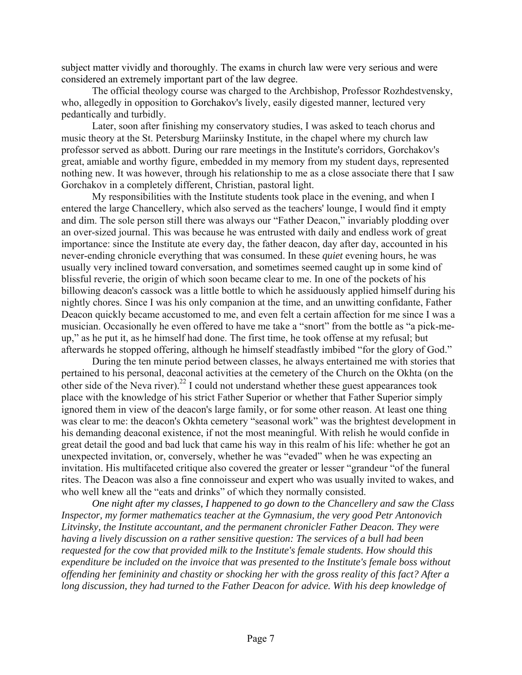subject matter vividly and thoroughly. The exams in church law were very serious and were considered an extremely important part of the law degree.

The official theology course was charged to the Archbishop, Professor Rozhdestvensky, who, allegedly in opposition to Gorchakov's lively, easily digested manner, lectured very pedantically and turbidly.

Later, soon after finishing my conservatory studies, I was asked to teach chorus and music theory at the St. Petersburg Mariinsky Institute, in the chapel where my church law professor served as abbott. During our rare meetings in the Institute's corridors, Gorchakov's great, amiable and worthy figure, embedded in my memory from my student days, represented nothing new. It was however, through his relationship to me as a close associate there that I saw Gorchakov in a completely different, Christian, pastoral light.

My responsibilities with the Institute students took place in the evening, and when I entered the large Chancellery, which also served as the teachers' lounge, I would find it empty and dim. The sole person still there was always our "Father Deacon," invariably plodding over an over-sized journal. This was because he was entrusted with daily and endless work of great importance: since the Institute ate every day, the father deacon, day after day, accounted in his never-ending chronicle everything that was consumed. In these *quiet* evening hours, he was usually very inclined toward conversation, and sometimes seemed caught up in some kind of blissful reverie, the origin of which soon became clear to me. In one of the pockets of his billowing deacon's cassock was a little bottle to which he assiduously applied himself during his nightly chores. Since I was his only companion at the time, and an unwitting confidante, Father Deacon quickly became accustomed to me, and even felt a certain affection for me since I was a musician. Occasionally he even offered to have me take a "snort" from the bottle as "a pick-meup," as he put it, as he himself had done. The first time, he took offense at my refusal; but afterwards he stopped offering, although he himself steadfastly imbibed "for the glory of God."

During the ten minute period between classes, he always entertained me with stories that pertained to his personal, deaconal activities at the cemetery of the Church on the Okhta (on the other side of the Neva river).<sup>22</sup> I could not understand whether these guest appearances took place with the knowledge of his strict Father Superior or whether that Father Superior simply ignored them in view of the deacon's large family, or for some other reason. At least one thing was clear to me: the deacon's Okhta cemetery "seasonal work" was the brightest development in his demanding deaconal existence, if not the most meaningful. With relish he would confide in great detail the good and bad luck that came his way in this realm of his life: whether he got an unexpected invitation, or, conversely, whether he was "evaded" when he was expecting an invitation. His multifaceted critique also covered the greater or lesser "grandeur "of the funeral rites. The Deacon was also a fine connoisseur and expert who was usually invited to wakes, and who well knew all the "eats and drinks" of which they normally consisted.

*One night after my classes, I happened to go down to the Chancellery and saw the Class Inspector, my former mathematics teacher at the Gymnasium, the very good Petr Antonovich Litvinsky, the Institute accountant, and the permanent chronicler Father Deacon. They were having a lively discussion on a rather sensitive question: The services of a bull had been requested for the cow that provided milk to the Institute's female students. How should this expenditure be included on the invoice that was presented to the Institute's female boss without offending her femininity and chastity or shocking her with the gross reality of this fact? After a long discussion, they had turned to the Father Deacon for advice. With his deep knowledge of*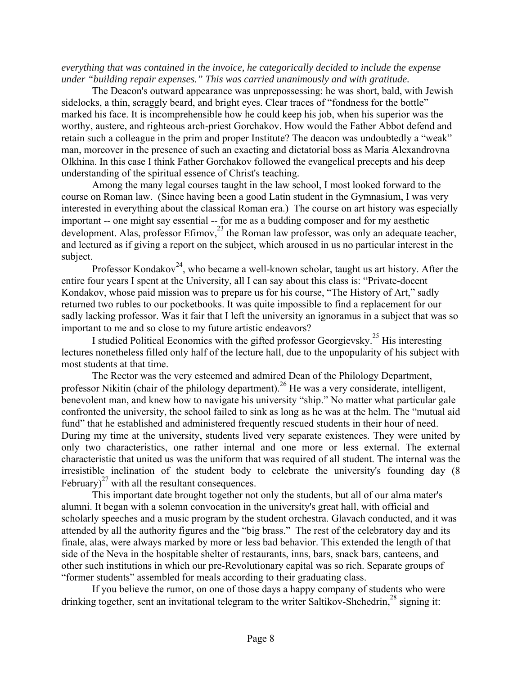*everything that was contained in the invoice, he categorically decided to include the expense under "building repair expenses." This was carried unanimously and with gratitude.* 

The Deacon's outward appearance was unprepossessing: he was short, bald, with Jewish sidelocks, a thin, scraggly beard, and bright eyes. Clear traces of "fondness for the bottle" marked his face. It is incomprehensible how he could keep his job, when his superior was the worthy, austere, and righteous arch-priest Gorchakov. How would the Father Abbot defend and retain such a colleague in the prim and proper Institute? The deacon was undoubtedly a "weak" man, moreover in the presence of such an exacting and dictatorial boss as Maria Alexandrovna Olkhina. In this case I think Father Gorchakov followed the evangelical precepts and his deep understanding of the spiritual essence of Christ's teaching.

Among the many legal courses taught in the law school, I most looked forward to the course on Roman law. (Since having been a good Latin student in the Gymnasium, I was very interested in everything about the classical Roman era.) The course on art history was especially important -- one might say essential -- for me as a budding composer and for my aesthetic development. Alas, professor Efimov, $^{23}$  the Roman law professor, was only an adequate teacher, and lectured as if giving a report on the subject, which aroused in us no particular interest in the subject.

Professor Kondakov<sup>24</sup>, who became a well-known scholar, taught us art history. After the entire four years I spent at the University, all I can say about this class is: "Private-docent Kondakov, whose paid mission was to prepare us for his course, "The History of Art," sadly returned two rubles to our pocketbooks. It was quite impossible to find a replacement for our sadly lacking professor. Was it fair that I left the university an ignoramus in a subject that was so important to me and so close to my future artistic endeavors?

I studied Political Economics with the gifted professor Georgievsky.25 His interesting lectures nonetheless filled only half of the lecture hall, due to the unpopularity of his subject with most students at that time.

The Rector was the very esteemed and admired Dean of the Philology Department, professor Nikitin (chair of the philology department).<sup>26</sup> He was a very considerate, intelligent, benevolent man, and knew how to navigate his university "ship." No matter what particular gale confronted the university, the school failed to sink as long as he was at the helm. The "mutual aid fund" that he established and administered frequently rescued students in their hour of need. During my time at the university, students lived very separate existences. They were united by only two characteristics, one rather internal and one more or less external. The external characteristic that united us was the uniform that was required of all student. The internal was the irresistible inclination of the student body to celebrate the university's founding day (8 February)<sup>27</sup> with all the resultant consequences.

This important date brought together not only the students, but all of our alma mater's alumni. It began with a solemn convocation in the university's great hall, with official and scholarly speeches and a music program by the student orchestra. Glavach conducted, and it was attended by all the authority figures and the "big brass." The rest of the celebratory day and its finale, alas, were always marked by more or less bad behavior. This extended the length of that side of the Neva in the hospitable shelter of restaurants, inns, bars, snack bars, canteens, and other such institutions in which our pre-Revolutionary capital was so rich. Separate groups of "former students" assembled for meals according to their graduating class.

If you believe the rumor, on one of those days a happy company of students who were drinking together, sent an invitational telegram to the writer Saltikov-Shchedrin, $^{28}$  signing it: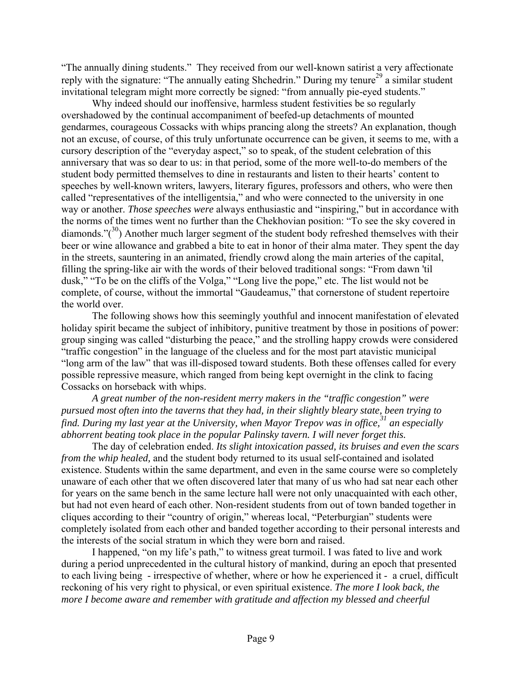"The annually dining students." They received from our well-known satirist a very affectionate reply with the signature: "The annually eating Shchedrin." During my tenure<sup>29</sup> a similar student invitational telegram might more correctly be signed: "from annually pie-eyed students."

Why indeed should our inoffensive, harmless student festivities be so regularly overshadowed by the continual accompaniment of beefed-up detachments of mounted gendarmes, courageous Cossacks with whips prancing along the streets? An explanation, though not an excuse, of course, of this truly unfortunate occurrence can be given, it seems to me, with a cursory description of the "everyday aspect," so to speak, of the student celebration of this anniversary that was so dear to us: in that period, some of the more well-to-do members of the student body permitted themselves to dine in restaurants and listen to their hearts' content to speeches by well-known writers, lawyers, literary figures, professors and others, who were then called "representatives of the intelligentsia," and who were connected to the university in one way or another. *Those speeches were* always enthusiastic and "inspiring," but in accordance with the norms of the times went no further than the Chekhovian position: "To see the sky covered in diamonds." $(30)$  Another much larger segment of the student body refreshed themselves with their beer or wine allowance and grabbed a bite to eat in honor of their alma mater. They spent the day in the streets, sauntering in an animated, friendly crowd along the main arteries of the capital, filling the spring-like air with the words of their beloved traditional songs: "From dawn 'til dusk," "To be on the cliffs of the Volga," "Long live the pope," etc. The list would not be complete, of course, without the immortal "Gaudeamus," that cornerstone of student repertoire the world over.

The following shows how this seemingly youthful and innocent manifestation of elevated holiday spirit became the subject of inhibitory, punitive treatment by those in positions of power: group singing was called "disturbing the peace," and the strolling happy crowds were considered "traffic congestion" in the language of the clueless and for the most part atavistic municipal "long arm of the law" that was ill-disposed toward students. Both these offenses called for every possible repressive measure, which ranged from being kept overnight in the clink to facing Cossacks on horseback with whips.

*A great number of the non-resident merry makers in the "traffic congestion" were pursued most often into the taverns that they had, in their slightly bleary state, been trying to*  find. During my last year at the University, when Mayor Trepov was in office,<sup>31</sup> an especially *abhorrent beating took place in the popular Palinsky tavern. I will never forget this.* 

The day of celebration ended. *Its slight intoxication passed, its bruises and even the scars from the whip healed*, and the student body returned to its usual self-contained and isolated existence. Students within the same department, and even in the same course were so completely unaware of each other that we often discovered later that many of us who had sat near each other for years on the same bench in the same lecture hall were not only unacquainted with each other, but had not even heard of each other. Non-resident students from out of town banded together in cliques according to their "country of origin," whereas local, "Peterburgian" students were completely isolated from each other and banded together according to their personal interests and the interests of the social stratum in which they were born and raised.

I happened, "on my life's path," to witness great turmoil. I was fated to live and work during a period unprecedented in the cultural history of mankind, during an epoch that presented to each living being - irrespective of whether, where or how he experienced it - a cruel, difficult reckoning of his very right to physical, or even spiritual existence. *The more I look back, the more I become aware and remember with gratitude and affection my blessed and cheerful*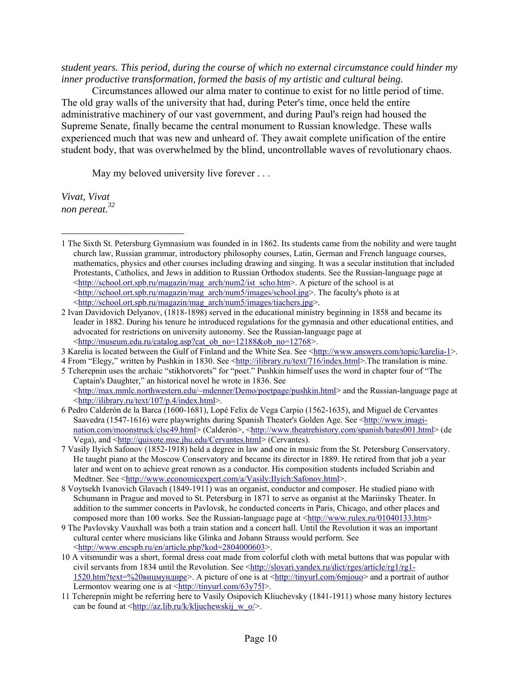*student years. This period, during the course of which no external circumstance could hinder my inner productive transformation, formed the basis of my artistic and cultural being.* 

Circumstances allowed our alma mater to continue to exist for no little period of time. The old gray walls of the university that had, during Peter's time, once held the entire administrative machinery of our vast government, and during Paul's reign had housed the Supreme Senate, finally became the central monument to Russian knowledge. These walls experienced much that was new and unheard of. They await complete unification of the entire student body, that was overwhelmed by the blind, uncontrollable waves of revolutionary chaos.

May my beloved university live forever . . .

*Vivat, Vivat non pereat.32*

 $\overline{a}$ 

3 Karelia is located between the Gulf of Finland and the White Sea. See <http://www.answers.com/topic/karelia-1>.

<sup>1</sup> The Sixth St. Petersburg Gymnasium was founded in in 1862. Its students came from the nobility and were taught church law, Russian grammar, introductory philosophy courses, Latin, German and French language courses, mathematics, physics and other courses including drawing and singing. It was a secular institution that included Protestants, Catholics, and Jews in addition to Russian Orthodox students. See the Russian-language page at  $\text{th}(x)$ :  $\text{th}(x)$  school.ort.spb.ru/magazin/mag\_arch/num2/ist\_scho.htm>. A picture of the school is at <http://school.ort.spb.ru/magazin/mag\_arch/num5/images/school.jpg>. The faculty's photo is at <http://school.ort.spb.ru/magazin/mag\_arch/num5/images/tiachers.jpg>.

<sup>2</sup> Ivan Davidovich Delyanov, (1818-1898) served in the educational ministry beginning in 1858 and became its leader in 1882. During his tenure he introduced regulations for the gymnasia and other educational entities, and advocated for restrictions on university autonomy. See the Russian-language page at <http://museum.edu.ru/catalog.asp?cat\_ob\_no=12188&ob\_no=12768>.

<sup>4</sup> From "Elegy," written by Pushkin in 1830. See <http://ilibrary.ru/text/716/index.html>.The translation is mine.

<sup>5</sup> Tcherepnin uses the archaic "stikhotvorets" for "poet." Pushkin himself uses the word in chapter four of "The Captain's Daughter," an historical novel he wrote in 1836. See <http://max.mmlc.northwestern.edu/~mdenner/Demo/poetpage/pushkin.html> and the Russian-language page at

<sup>&</sup>lt;http://ilibrary.ru/text/107/p.4/index.html>. 6 Pedro Calderón de la Barca (1600-1681), Lopé Felix de Vega Carpio (1562-1635), and Miguel de Cervantes

Saavedra (1547-1616) were playwrights during Spanish Theater's Golden Age. See <http://www.imagination.com/moonstruck/clsc49.html> (Calderón>, <http://www.theatrehistory.com/spanish/bates001.html> (de Vega), and <http://quixote.mse.jhu.edu/Cervantes.html> (Cervantes).

<sup>7</sup> Vasily Ilyich Safonov (1852-1918) held a degree in law and one in music from the St. Petersburg Conservatory. He taught piano at the Moscow Conservatory and became its director in 1889. He retired from that job a year later and went on to achieve great renown as a conductor. His composition students included Scriabin and Medtner. See <http://www.economicexpert.com/a/Vasily:Ilyich:Safonov.html>.

<sup>8</sup> Voytsekh Ivanovich Glavach (1849-1911) was an organist, conductor and composer. He studied piano with Schumann in Prague and moved to St. Petersburg in 1871 to serve as organist at the Mariinsky Theater. In addition to the summer concerts in Pavlovsk, he conducted concerts in Paris, Chicago, and other places and composed more than 100 works. See the Russian-language page at <http://www.rulex.ru/01040133.htm>

<sup>9</sup> The Pavlovsky Vauxhall was both a train station and a concert hall. Until the Revolution it was an important cultural center where musicians like Glinka and Johann Strauss would perform. See <http://www.encspb.ru/en/article.php?kod=2804000603>.

<sup>10</sup> A vitsmundir was a short, formal dress coat made from colorful cloth with metal buttons that was popular with civil servants from 1834 until the Revolution. See <http://slovari.yandex.ru/dict/rges/article/rg1/rg1- 1520.htm?text=%20вицмундире>. A picture of one is at <http://tinyurl.com/6mjouo> and a portrait of author Lermontov wearing one is at  $\frac{\text{http://tiny.l.com/63y75l>}}{$ .

<sup>11</sup> Tcherepnin might be referring here to Vasily Osipovich Kliuchevsky (1841-1911) whose many history lectures can be found at  $\frac{\text{http://az.lib.ru/k/kljuchewskij} w_0}{\text{...}}$ .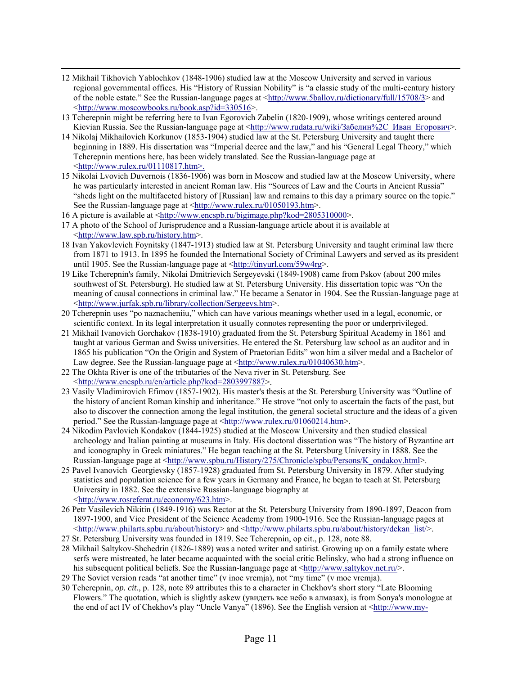- 12 Mikhail Tikhovich Yablochkov (1848-1906) studied law at the Moscow University and served in various regional governmental offices. His "History of Russian Nobility" is "a classic study of the multi-century history of the noble estate." See the Russian-language pages at  $\frac{\text{http://www.5ballow.ru/dictionary/full/15708/3>}}{$  and <http://www.moscowbooks.ru/book.asp?id=330516>.
- 13 Tcherepnin might be referring here to Ivan Egorovich Zabelin (1820-1909), whose writings centered around Kievian Russia. See the Russian-language page at <http://www.rudata.ru/wiki/Забелин%2С\_Иван\_Егорович>.
- 14 Nikolaj Mikhailovich Korkunov (1853-1904) studied law at the St. Petersburg University and taught there beginning in 1889. His dissertation was "Imperial decree and the law," and his "General Legal Theory," which Tcherepnin mentions here, has been widely translated. See the Russian-language page at <http://www.rulex.ru/01110817.htm>.
- 15 Nikolai Lvovich Duvernois (1836-1906) was born in Moscow and studied law at the Moscow University, where he was particularly interested in ancient Roman law. His "Sources of Law and the Courts in Ancient Russia" "sheds light on the multifaceted history of [Russian] law and remains to this day a primary source on the topic." See the Russian-language page at <http://www.rulex.ru/01050193.htm>.
- 16 A picture is available at <http://www.encspb.ru/bigimage.php?kod=2805310000>.
- 17 A photo of the School of Jurisprudence and a Russian-language article about it is available at <http://www.law.spb.ru/history.htm>.
- 18 Ivan Yakovlevich Foynitsky (1847-1913) studied law at St. Petersburg University and taught criminal law there from 1871 to 1913. In 1895 he founded the International Society of Criminal Lawyers and served as its president until 1905. See the Russian-language page at <http://tinyurl.com/59w4rg>.
- 19 Like Tcherepnin's family, Nikolai Dmitrievich Sergeyevski (1849-1908) came from Pskov (about 200 miles southwest of St. Petersburg). He studied law at St. Petersburg University. His dissertation topic was "On the meaning of causal connections in criminal law." He became a Senator in 1904. See the Russian-language page at <http://www.jurfak.spb.ru/library/collection/Sergeevs.htm>.
- 20 Tcherepnin uses "po naznacheniiu," which can have various meanings whether used in a legal, economic, or scientific context. In its legal interpretation it usually connotes representing the poor or underprivileged.
- 21 Mikhail Ivanovich Gorchakov (1838-1910) graduated from the St. Petersburg Spiritual Academy in 1861 and taught at various German and Swiss universities. He entered the St. Petersburg law school as an auditor and in 1865 his publication "On the Origin and System of Praetorian Edits" won him a silver medal and a Bachelor of Law degree. See the Russian-language page at  $\langle \text{http://www.rulex.ru/01040630.htm>}\rangle$ .
- 22 The Okhta River is one of the tributaries of the Neva river in St. Petersburg. See <http://www.encspb.ru/en/article.php?kod=2803997887>.
- 23 Vasily Vladimirovich Efimov (1857-1902). His master's thesis at the St. Petersburg University was "Outline of the history of ancient Roman kinship and inheritance." He strove "not only to ascertain the facts of the past, but also to discover the connection among the legal institution, the general societal structure and the ideas of a given period." See the Russian-language page at <http://www.rulex.ru/01060214.htm>.
- 24 Nikodim Pavlovich Kondakov (1844-1925) studied at the Moscow University and then studied classical archeology and Italian painting at museums in Italy. His doctoral dissertation was "The history of Byzantine art and iconography in Greek miniatures." He began teaching at the St. Petersburg University in 1888. See the Russian-language page at <http://www.spbu.ru/History/275/Chronicle/spbu/Persons/K\_ondakov.html>.
- 25 Pavel Ivanovich Georgievsky (1857-1928) graduated from St. Petersburg University in 1879. After studying statistics and population science for a few years in Germany and France, he began to teach at St. Petersburg University in 1882. See the extensive Russian-language biography at <http://www.rosreferat.ru/economy/623.htm>.
- 26 Petr Vasilevich Nikitin (1849-1916) was Rector at the St. Petersburg University from 1890-1897, Deacon from 1897-1900, and Vice President of the Science Academy from 1900-1916. See the Russian-language pages at  $\langle$ http://www.philarts.spbu.ru/about/history> and  $\langle$ http://www.philarts.spbu.ru/about/history/dekan\_list/>.
- 27 St. Petersburg University was founded in 1819. See Tcherepnin, op cit., p. 128, note 88.
- 28 Mikhail Saltykov-Shchedrin (1826-1889) was a noted writer and satirist. Growing up on a family estate where serfs were mistreated, he later became acquainted with the social critic Belinsky, who had a strong influence on his subsequent political beliefs. See the Russian-language page at  $\langle \text{http://www.saltykov.net.ru/>}$ .
- 29 The Soviet version reads "at another time" (v inoe vremja), not "my time" (v moe vremja).
- 30 Tcherepnin, *op. cit.*, p. 128, note 89 attributes this to a character in Chekhov's short story "Late Blooming Flowers." The quotation, which is slightly askew (увидеть все небо в алмазах), is from Sonya's monologue at the end of act IV of Chekhov's play "Uncle Vanya" (1896). See the English version at <http://www.my-